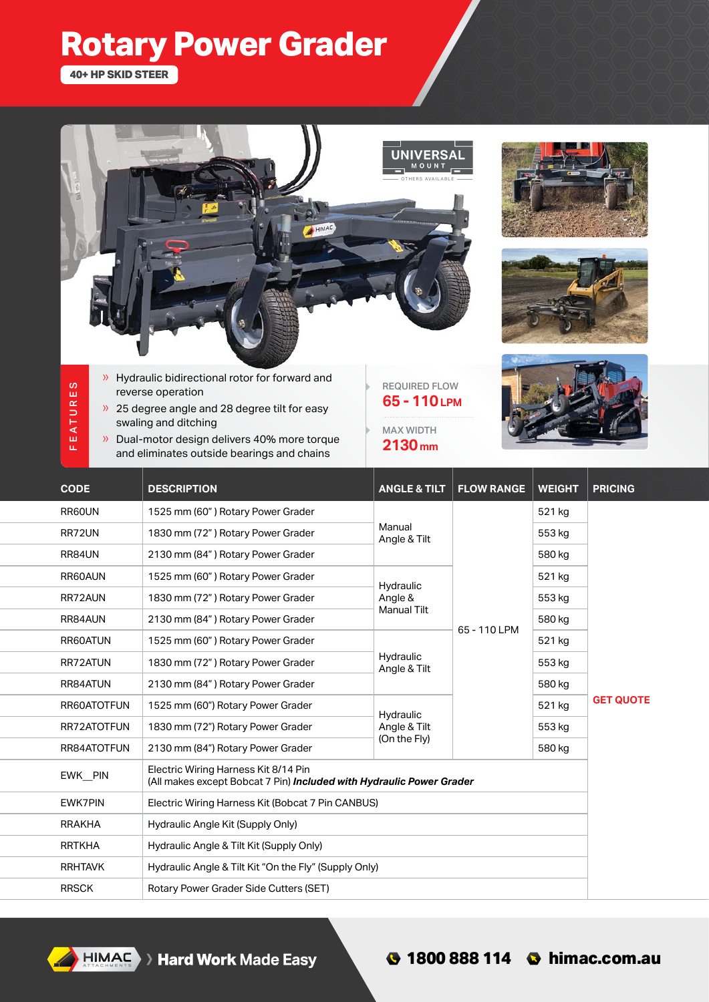## **Rotary Power Grader**

**40+ HP SKID STEER**

FE ATURES

FEATURES



- » Hydraulic bidirectional rotor for forward and reverse operation
- » 25 degree angle and 28 degree tilt for easy swaling and ditching
- » Dual-motor design delivers 40% more torque and eliminates outside bearings and chains



MAX WIDTH **2130 mm**



| <b>CODE</b>    | <b>DESCRIPTION</b>                                                                                           | <b>ANGLE &amp; TILT</b>                    | <b>FLOW RANGE</b> | <b>WEIGHT</b> | <b>PRICING</b>   |
|----------------|--------------------------------------------------------------------------------------------------------------|--------------------------------------------|-------------------|---------------|------------------|
| RR60UN         | 1525 mm (60") Rotary Power Grader                                                                            | Manual<br>Angle & Tilt                     | 65 - 110 LPM      | 521 kg        | <b>GET QUOTE</b> |
| RR72UN         | 1830 mm (72") Rotary Power Grader                                                                            |                                            |                   | 553 kg        |                  |
| RR84UN         | 2130 mm (84") Rotary Power Grader                                                                            |                                            |                   | 580 kg        |                  |
| RR60AUN        | 1525 mm (60") Rotary Power Grader                                                                            | Hydraulic<br>Angle &<br><b>Manual Tilt</b> |                   | 521 kg        |                  |
| RR72AUN        | 1830 mm (72") Rotary Power Grader                                                                            |                                            |                   | 553 kg        |                  |
| RR84AUN        | 2130 mm (84") Rotary Power Grader                                                                            |                                            |                   | 580 kg        |                  |
| RR60ATUN       | 1525 mm (60") Rotary Power Grader                                                                            | Hydraulic<br>Angle & Tilt                  |                   | 521 kg        |                  |
| RR72ATUN       | 1830 mm (72") Rotary Power Grader                                                                            |                                            |                   | 553 kg        |                  |
| RR84ATUN       | 2130 mm (84") Rotary Power Grader                                                                            |                                            |                   | 580 kg        |                  |
| RR60ATOTFUN    | 1525 mm (60") Rotary Power Grader                                                                            | Hydraulic<br>Angle & Tilt<br>(On the Fly)  |                   | 521 kg        |                  |
| RR72ATOTFUN    | 1830 mm (72") Rotary Power Grader                                                                            |                                            |                   | 553 kg        |                  |
| RR84ATOTFUN    | 2130 mm (84") Rotary Power Grader                                                                            |                                            |                   | 580 kg        |                  |
| EWK PIN        | Electric Wiring Harness Kit 8/14 Pin<br>(All makes except Bobcat 7 Pin) Included with Hydraulic Power Grader |                                            |                   |               |                  |
| <b>EWK7PIN</b> | Electric Wiring Harness Kit (Bobcat 7 Pin CANBUS)                                                            |                                            |                   |               |                  |
| <b>RRAKHA</b>  | Hydraulic Angle Kit (Supply Only)                                                                            |                                            |                   |               |                  |
| <b>RRTKHA</b>  | Hydraulic Angle & Tilt Kit (Supply Only)                                                                     |                                            |                   |               |                  |
| <b>RRHTAVK</b> | Hydraulic Angle & Tilt Kit "On the Fly" (Supply Only)                                                        |                                            |                   |               |                  |
| <b>RRSCK</b>   | Rotary Power Grader Side Cutters (SET)                                                                       |                                            |                   |               |                  |

**HIMAC** > Hard Work Made Easy